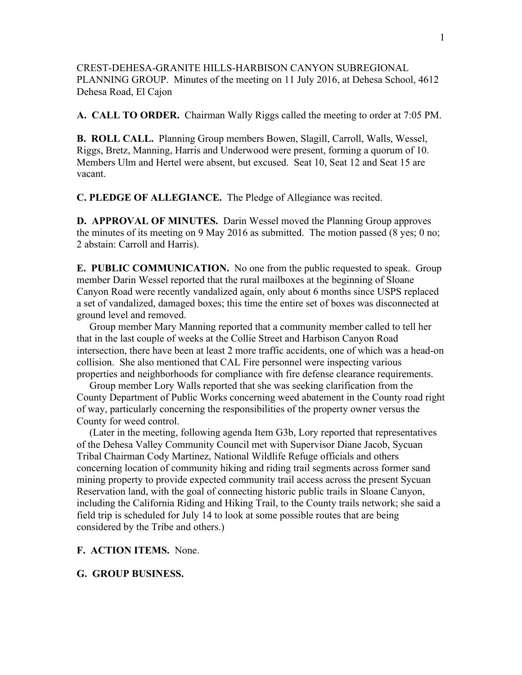CREST-DEHESA-GRANITE HILLS-HARBISON CANYON SUBREGIONAL PLANNING GROUP. Minutes of the meeting on 11 July 2016, at Dehesa School, 4612 Dehesa Road, El Cajon

**A. CALL TO ORDER.** Chairman Wally Riggs called the meeting to order at 7:05 PM.

**B. ROLL CALL.** Planning Group members Bowen, Slagill, Carroll, Walls, Wessel, Riggs, Bretz, Manning, Harris and Underwood were present, forming a quorum of 10. Members Ulm and Hertel were absent, but excused. Seat 10, Seat 12 and Seat 15 are vacant.

**C. PLEDGE OF ALLEGIANCE.** The Pledge of Allegiance was recited.

**D. APPROVAL OF MINUTES.** Darin Wessel moved the Planning Group approves the minutes of its meeting on 9 May 2016 as submitted. The motion passed (8 yes; 0 no; 2 abstain: Carroll and Harris).

**E. PUBLIC COMMUNICATION.** No one from the public requested to speak. Group member Darin Wessel reported that the rural mailboxes at the beginning of Sloane Canyon Road were recently vandalized again, only about 6 months since USPS replaced a set of vandalized, damaged boxes; this time the entire set of boxes was disconnected at ground level and removed.

 Group member Mary Manning reported that a community member called to tell her that in the last couple of weeks at the Collie Street and Harbison Canyon Road intersection, there have been at least 2 more traffic accidents, one of which was a head-on collision. She also mentioned that CAL Fire personnel were inspecting various properties and neighborhoods for compliance with fire defense clearance requirements.

 Group member Lory Walls reported that she was seeking clarification from the County Department of Public Works concerning weed abatement in the County road right of way, particularly concerning the responsibilities of the property owner versus the County for weed control.

 (Later in the meeting, following agenda Item G3b, Lory reported that representatives of the Dehesa Valley Community Council met with Supervisor Diane Jacob, Sycuan Tribal Chairman Cody Martinez, National Wildlife Refuge officials and others concerning location of community hiking and riding trail segments across former sand mining property to provide expected community trail access across the present Sycuan Reservation land, with the goal of connecting historic public trails in Sloane Canyon, including the California Riding and Hiking Trail, to the County trails network; she said a field trip is scheduled for July 14 to look at some possible routes that are being considered by the Tribe and others.)

## **F. ACTION ITEMS.** None.

## **G. GROUP BUSINESS.**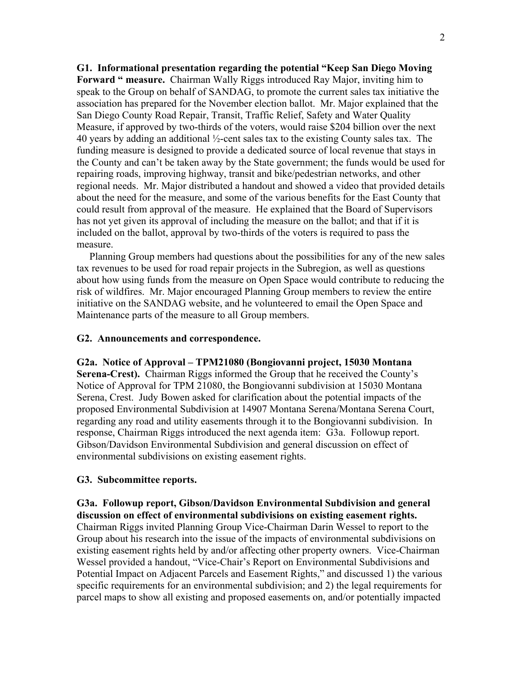**G1. Informational presentation regarding the potential "Keep San Diego Moving Forward " measure.** Chairman Wally Riggs introduced Ray Major, inviting him to speak to the Group on behalf of SANDAG, to promote the current sales tax initiative the association has prepared for the November election ballot. Mr. Major explained that the San Diego County Road Repair, Transit, Traffic Relief, Safety and Water Quality Measure, if approved by two-thirds of the voters, would raise \$204 billion over the next 40 years by adding an additional ½-cent sales tax to the existing County sales tax. The funding measure is designed to provide a dedicated source of local revenue that stays in the County and can't be taken away by the State government; the funds would be used for repairing roads, improving highway, transit and bike/pedestrian networks, and other regional needs. Mr. Major distributed a handout and showed a video that provided details about the need for the measure, and some of the various benefits for the East County that could result from approval of the measure. He explained that the Board of Supervisors has not yet given its approval of including the measure on the ballot; and that if it is included on the ballot, approval by two-thirds of the voters is required to pass the measure.

 Planning Group members had questions about the possibilities for any of the new sales tax revenues to be used for road repair projects in the Subregion, as well as questions about how using funds from the measure on Open Space would contribute to reducing the risk of wildfires. Mr. Major encouraged Planning Group members to review the entire initiative on the SANDAG website, and he volunteered to email the Open Space and Maintenance parts of the measure to all Group members.

## **G2. Announcements and correspondence.**

**G2a. Notice of Approval – TPM21080 (Bongiovanni project, 15030 Montana Serena-Crest).** Chairman Riggs informed the Group that he received the County's Notice of Approval for TPM 21080, the Bongiovanni subdivision at 15030 Montana Serena, Crest. Judy Bowen asked for clarification about the potential impacts of the proposed Environmental Subdivision at 14907 Montana Serena/Montana Serena Court, regarding any road and utility easements through it to the Bongiovanni subdivision. In response, Chairman Riggs introduced the next agenda item: G3a. Followup report. Gibson/Davidson Environmental Subdivision and general discussion on effect of environmental subdivisions on existing easement rights.

## **G3. Subcommittee reports.**

**G3a. Followup report, Gibson/Davidson Environmental Subdivision and general discussion on effect of environmental subdivisions on existing easement rights.** Chairman Riggs invited Planning Group Vice-Chairman Darin Wessel to report to the Group about his research into the issue of the impacts of environmental subdivisions on existing easement rights held by and/or affecting other property owners. Vice-Chairman Wessel provided a handout, "Vice-Chair's Report on Environmental Subdivisions and Potential Impact on Adjacent Parcels and Easement Rights," and discussed 1) the various specific requirements for an environmental subdivision; and 2) the legal requirements for parcel maps to show all existing and proposed easements on, and/or potentially impacted